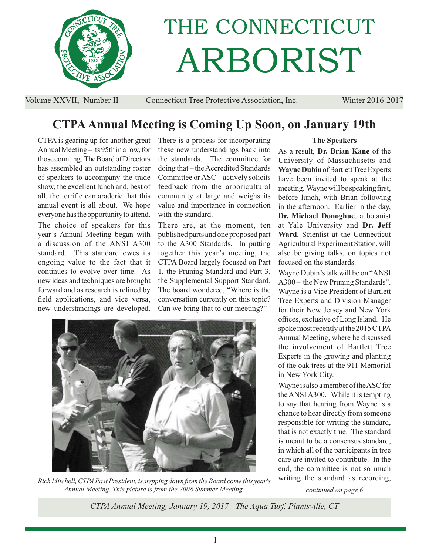

# THE CONNECTICUT ARBORIST

Volume XXVII, Number II Connecticut Tree Protective Association, Inc. Winter 2016-2017

# **CTPA Annual Meeting is Coming Up Soon, on January 19th**

CTPA is gearing up for another great Annual Meeting – its 95th in a row, for those counting. The Board of Directors has assembled an outstanding roster of speakers to accompany the trade show, the excellent lunch and, best of all, the terrific camaraderie that this annual event is all about. We hope everyone has the opportunity to attend. The choice of speakers for this year's Annual Meeting began with a discussion of the ANSI A300 standard. This standard owes its ongoing value to the fact that it continues to evolve over time. As new ideas and techniques are brought forward and as research is refined by field applications, and vice versa, new understandings are developed.

There is a process for incorporating these new understandings back into the standards. The committee for doing that – the Accredited Standards Committee or ASC – actively solicits feedback from the arboricultural community at large and weighs its value and importance in connection with the standard.

There are, at the moment, ten published parts and one proposed part to the A300 Standards. In putting together this year's meeting, the CTPA Board largely focused on Part 1, the Pruning Standard and Part 3, the Supplemental Support Standard. The board wondered, "Where is the conversation currently on this topic? Can we bring that to our meeting?"



*Rich Mitchell, CTPA Past President, is stepping down from the Board come this year's Annual Meeting. This picture is from the 2008 Summer Meeting.*

## **The Speakers**

As a result, **Dr. Brian Kane** of the University of Massachusetts and **Wayne Dubin** of Bartlett Tree Experts have been invited to speak at the meeting. Wayne will be speaking first, before lunch, with Brian following in the afternoon. Earlier in the day, **Dr. Michael Donoghue**, a botanist at Yale University and **Dr. Jeff Ward**, Scientist at the Connecticut Agricultural Experiment Station, will also be giving talks, on topics not focused on the standards.

Wayne Dubin's talk will be on "ANSI A300 – the New Pruning Standards". Wayne is a Vice President of Bartlett Tree Experts and Division Manager for their New Jersey and New York offices, exclusive of Long Island. He spoke most recently at the 2015 CTPA Annual Meeting, where he discussed the involvement of Bartlett Tree Experts in the growing and planting of the oak trees at the 911 Memorial in New York City.

Wayne is also a member of the ASC for the ANSI A300. While it is tempting to say that hearing from Wayne is a chance to hear directly from someone responsible for writing the standard, that is not exactly true. The standard is meant to be a consensus standard, in which all of the participants in tree care are invited to contribute. In the end, the committee is not so much writing the standard as recording,

*continued on page 6*

*CTPA Annual Meeting, January 19, 2017 - The Aqua Turf, Plantsville, CT*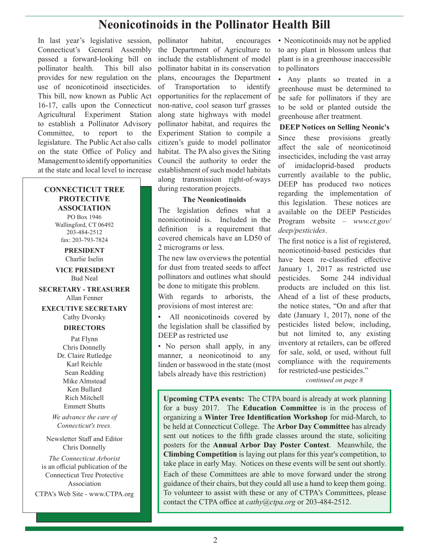# **Neonicotinoids in the Pollinator Health Bill**

In last year's legislative session, pollinator Connecticut's General Assembly the Department of Agriculture to passed a forward-looking bill on pollinator health. This bill also provides for new regulation on the use of neonicotinoid insecticides. This bill, now known as Public Act 16-17, calls upon the Connecticut Agricultural Experiment Station to establish a Pollinator Advisory Committee, to report to the legislature. The Public Act also calls on the state Office of Policy and Management to identify opportunities at the state and local level to increase

## **CONNECTICUT TREE PROTECTIVE ASSOCIATION**

PO Box 1946 Wallingford, CT 06492 203-484-2512 fax: 203-793-7824

#### **PRESIDENT** Charlie Iselin

 **VICE PRESIDENT** Bud Neal

**SECRETARY - TREASURER** Allan Fenner

**EXECUTIVE SECRETARY** Cathy Dvorsky

#### **DIRECTORS**

Pat Flynn Chris Donnelly Dr. Claire Rutledge Karl Reichle Sean Redding Mike Almstead Ken Bullard Rich Mitchell Emmett Shutts

*We advance the care of Connecticut's trees.*

Newsletter Staff and Editor Chris Donnelly

*The Connecticut Arborist* is an official publication of the Connecticut Tree Protective Association

CTPA's Web Site - www.CTPA.org

habitat, encourages include the establishment of model pollinator habitat in its conservation plans, encourages the Department of Transportation to identify opportunities for the replacement of non-native, cool season turf grasses along state highways with model pollinator habitat, and requires the Experiment Station to compile a citizen's guide to model pollinator habitat. The PA also gives the Siting Council the authority to order the establishment of such model habitats along transmission right-of-ways during restoration projects.

#### **The Neonicotinoids**

The legislation defines what a neonicotinoid is. Included in the definition is a requirement that covered chemicals have an LD50 of 2 micrograms or less.

The new law overviews the potential for dust from treated seeds to affect pollinators and outlines what should be done to mitigate this problem.

With regards to arborists, the provisions of most interest are:

All neonicotinoids covered by the legislation shall be classified by DEEP as restricted use

• No person shall apply, in any manner, a neonicotinoid to any linden or basswood in the state (most labels already have this restriction)

• Neonicotinoids may not be applied to any plant in blossom unless that plant is in a greenhouse inaccessible to pollinators

• Any plants so treated in a greenhouse must be determined to be safe for pollinators if they are to be sold or planted outside the greenhouse after treatment.

**DEEP Notices on Selling Neonic's** Since these provisions greatly affect the sale of neonicotinoid insecticides, including the vast array of imidacloprid-based products currently available to the public, DEEP has produced two notices regarding the implementation of this legislation. These notices are available on the DEEP Pesticides Program website – *www.ct.gov/ deep/pesticides*.

The first notice is a list of registered, neonicotinoid-based pesticides that have been re-classified effective January 1, 2017 as restricted use pesticides. Some 244 individual products are included on this list. Ahead of a list of these products, the notice states, "On and after that date (January 1, 2017), none of the pesticides listed below, including, but not limited to, any existing inventory at retailers, can be offered for sale, sold, or used, without full compliance with the requirements for restricted-use pesticides."

*continued on page 8*

**Upcoming CTPA events:** The CTPA board is already at work planning for a busy 2017. The **Education Committee** is in the process of organizing a Winter Tree Identification Workshop for mid-March, to be held at Connecticut College. The **Arbor Day Committee** has already sent out notices to the fifth grade classes around the state, soliciting posters for the **Annual Arbor Day Poster Contest**. Meanwhile, the **Climbing Competition** is laying out plans for this year's competition, to take place in early May. Notices on these events will be sent out shortly. Each of these Committees are able to move forward under the strong guidance of their chairs, but they could all use a hand to keep them going. To volunteer to assist with these or any of CTPA's Committees, please contact the CTPA office at *cathy@ctpa.org* or 203-484-2512.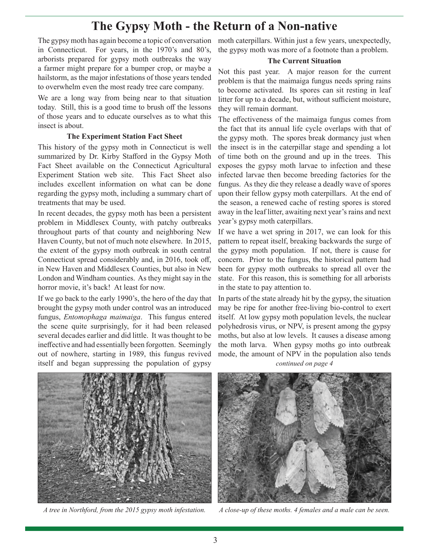# **The Gypsy Moth - the Return of a Non-native**

The gypsy moth has again become a topic of conversation in Connecticut. For years, in the 1970's and 80's, arborists prepared for gypsy moth outbreaks the way a farmer might prepare for a bumper crop, or maybe a hailstorm, as the major infestations of those years tended to overwhelm even the most ready tree care company.

We are a long way from being near to that situation today. Still, this is a good time to brush off the lessons of those years and to educate ourselves as to what this insect is about.

#### **The Experiment Station Fact Sheet**

This history of the gypsy moth in Connecticut is well summarized by Dr. Kirby Stafford in the Gypsy Moth Fact Sheet available on the Connecticut Agricultural Experiment Station web site. This Fact Sheet also includes excellent information on what can be done regarding the gypsy moth, including a summary chart of treatments that may be used.

In recent decades, the gypsy moth has been a persistent problem in Middlesex County, with patchy outbreaks throughout parts of that county and neighboring New Haven County, but not of much note elsewhere. In 2015, the extent of the gypsy moth outbreak in south central Connecticut spread considerably and, in 2016, took off, in New Haven and Middlesex Counties, but also in New London and Windham counties. As they might say in the horror movie, it's back! At least for now.

If we go back to the early 1990's, the hero of the day that brought the gypsy moth under control was an introduced fungus, *Entomophaga maimaiga*. This fungus entered the scene quite surprisingly, for it had been released several decades earlier and did little. It was thought to be ineffective and had essentially been forgotten. Seemingly out of nowhere, starting in 1989, this fungus revived itself and began suppressing the population of gypsy

moth caterpillars. Within just a few years, unexpectedly, the gypsy moth was more of a footnote than a problem.

#### **The Current Situation**

Not this past year. A major reason for the current problem is that the maimaiga fungus needs spring rains to become activated. Its spores can sit resting in leaf litter for up to a decade, but, without sufficient moisture, they will remain dormant.

The effectiveness of the maimaiga fungus comes from the fact that its annual life cycle overlaps with that of the gypsy moth. The spores break dormancy just when the insect is in the caterpillar stage and spending a lot of time both on the ground and up in the trees. This exposes the gypsy moth larvae to infection and these infected larvae then become breeding factories for the fungus. As they die they release a deadly wave of spores upon their fellow gypsy moth caterpillars. At the end of the season, a renewed cache of resting spores is stored away in the leaf litter, awaiting next year's rains and next year's gypsy moth caterpillars.

If we have a wet spring in 2017, we can look for this pattern to repeat itself, breaking backwards the surge of the gypsy moth population. If not, there is cause for concern. Prior to the fungus, the historical pattern had been for gypsy moth outbreaks to spread all over the state. For this reason, this is something for all arborists in the state to pay attention to.

In parts of the state already hit by the gypsy, the situation may be ripe for another free-living bio-control to exert itself. At low gypsy moth population levels, the nuclear polyhedrosis virus, or NPV, is present among the gypsy moths, but also at low levels. It causes a disease among the moth larva. When gypsy moths go into outbreak mode, the amount of NPV in the population also tends



*continued on page 4*



*A tree in Northford, from the 2015 gypsy moth infestation. A close-up of these moths. 4 females and a male can be seen.*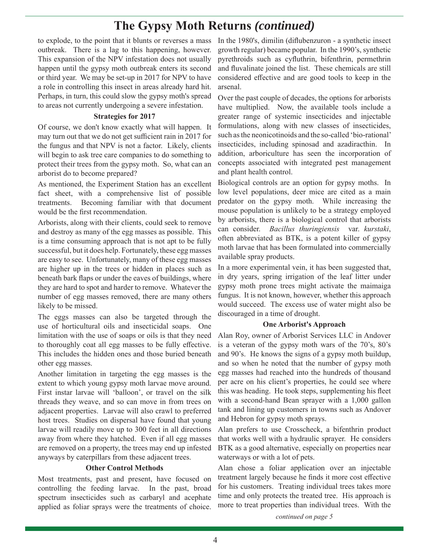# **The Gypsy Moth Returns** *(continued)*

to explode, to the point that it blunts or reverses a mass outbreak. There is a lag to this happening, however. This expansion of the NPV infestation does not usually happen until the gypsy moth outbreak enters its second or third year. We may be set-up in 2017 for NPV to have a role in controlling this insect in areas already hard hit. Perhaps, in turn, this could slow the gypsy moth's spread to areas not currently undergoing a severe infestation.

#### **Strategies for 2017**

Of course, we don't know exactly what will happen. It may turn out that we do not get sufficient rain in 2017 for the fungus and that NPV is not a factor. Likely, clients will begin to ask tree care companies to do something to protect their trees from the gypsy moth. So, what can an arborist do to become prepared?

As mentioned, the Experiment Station has an excellent fact sheet, with a comprehensive list of possible treatments. Becoming familiar with that document would be the first recommendation.

Arborists, along with their clients, could seek to remove and destroy as many of the egg masses as possible. This is a time consuming approach that is not apt to be fully successful, but it does help. Fortunately, these egg masses are easy to see. Unfortunately, many of these egg masses are higher up in the trees or hidden in places such as beneath bark flaps or under the eaves of buildings, where they are hard to spot and harder to remove. Whatever the number of egg masses removed, there are many others likely to be missed.

The eggs masses can also be targeted through the use of horticultural oils and insecticidal soaps. One limitation with the use of soaps or oils is that they need to thoroughly coat all egg masses to be fully effective. This includes the hidden ones and those buried beneath other egg masses.

Another limitation in targeting the egg masses is the extent to which young gypsy moth larvae move around. First instar larvae will 'balloon', or travel on the silk threads they weave, and so can move in from trees on adjacent properties. Larvae will also crawl to preferred host trees. Studies on dispersal have found that young larvae will readily move up to 300 feet in all directions away from where they hatched. Even if all egg masses are removed on a property, the trees may end up infested anyways by caterpillars from these adjacent trees.

#### **Other Control Methods**

Most treatments, past and present, have focused on controlling the feeding larvae. In the past, broad spectrum insecticides such as carbaryl and acephate applied as foliar sprays were the treatments of choice.

In the 1980's, dimilin (diflubenzuron - a synthetic insect growth regular) became popular. In the 1990's, synthetic pyrethroids such as cyfluthrin, bifenthrin, permethrin and fluvalinate joined the list. These chemicals are still considered effective and are good tools to keep in the arsenal.

Over the past couple of decades, the options for arborists have multiplied. Now, the available tools include a greater range of systemic insecticides and injectable formulations, along with new classes of insecticides, such as the neonicotinoids and the so-called 'bio-rational' insecticides, including spinosad and azadiracthin. In addition, arboriculture has seen the incorporation of concepts associated with integrated pest management and plant health control.

Biological controls are an option for gypsy moths. In low level populations, deer mice are cited as a main predator on the gypsy moth. While increasing the mouse population is unlikely to be a strategy employed by arborists, there is a biological control that arborists can consider. *Bacillus thuringiensis* var. *kurstaki*, often abbreviated as BTK, is a potent killer of gypsy moth larvae that has been formulated into commercially available spray products.

In a more experimental vein, it has been suggested that, in dry years, spring irrigation of the leaf litter under gypsy moth prone trees might activate the maimaiga fungus. It is not known, however, whether this approach would succeed. The excess use of water might also be discouraged in a time of drought.

## **One Arborist's Approach**

Alan Roy, owner of Arborist Services LLC in Andover is a veteran of the gypsy moth wars of the 70's, 80's and 90's. He knows the signs of a gypsy moth buildup, and so when he noted that the number of gypsy moth egg masses had reached into the hundreds of thousand per acre on his client's properties, he could see where this was heading. He took steps, supplementing his fleet with a second-hand Bean sprayer with a 1,000 gallon tank and lining up customers in towns such as Andover and Hebron for gypsy moth sprays.

Alan prefers to use Crosscheck, a bifenthrin product that works well with a hydraulic sprayer. He considers BTK as a good alternative, especially on properties near waterways or with a lot of pets.

Alan chose a foliar application over an injectable treatment largely because he finds it more cost effective for his customers. Treating individual trees takes more time and only protects the treated tree. His approach is more to treat properties than individual trees. With the

*continued on page 5*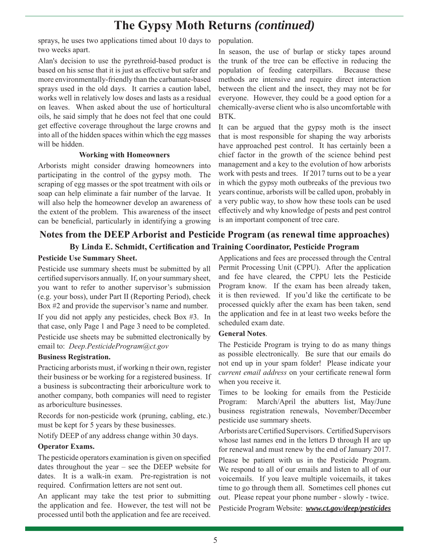# **The Gypsy Moth Returns** *(continued)*

sprays, he uses two applications timed about 10 days to population. two weeks apart.

Alan's decision to use the pyrethroid-based product is based on his sense that it is just as effective but safer and more environmentally-friendly than the carbamate-based sprays used in the old days. It carries a caution label, works well in relatively low doses and lasts as a residual on leaves. When asked about the use of horticultural oils, he said simply that he does not feel that one could get effective coverage throughout the large crowns and into all of the hidden spaces within which the egg masses will be hidden.

## **Working with Homeowners**

Arborists might consider drawing homeowners into participating in the control of the gypsy moth. The scraping of egg masses or the spot treatment with oils or soap can help eliminate a fair number of the larvae. It will also help the homeowner develop an awareness of the extent of the problem. This awareness of the insect can be beneficial, particularly in identifying a growing

# **Notes from the DEEP Arborist and Pesticide Program (as renewal time approaches)**

# **By Linda E. Schmidt, Certification and Training Coordinator, Pesticide Program**

## **Pesticide Use Summary Sheet.**

Pesticide use summary sheets must be submitted by all certified supervisors annually. If, on your summary sheet, you want to refer to another supervisor's submission (e.g. your boss), under Part II (Reporting Period), check Box #2 and provide the supervisor's name and number.

If you did not apply any pesticides, check Box #3. In that case, only Page 1 and Page 3 need to be completed. Pesticide use sheets may be submitted electronically by email to: *Deep.PesticideProgram@ct.gov*

## **Business Registration.**

Practicing arborists must, if working n their own, register their business or be working for a registered business. If a business is subcontracting their arboriculture work to another company, both companies will need to register as arboriculture businesses.

Records for non-pesticide work (pruning, cabling, etc.) must be kept for 5 years by these businesses.

Notify DEEP of any address change within 30 days.

## **Operator Exams.**

The pesticide operators examination is given on specified dates throughout the year – see the DEEP website for dates. It is a walk-in exam. Pre-registration is not required. Confirmation letters are not sent out.

An applicant may take the test prior to submitting the application and fee. However, the test will not be processed until both the application and fee are received.

In season, the use of burlap or sticky tapes around the trunk of the tree can be effective in reducing the population of feeding caterpillars. Because these methods are intensive and require direct interaction between the client and the insect, they may not be for everyone. However, they could be a good option for a chemically-averse client who is also uncomfortable with BTK.

It can be argued that the gypsy moth is the insect that is most responsible for shaping the way arborists have approached pest control. It has certainly been a chief factor in the growth of the science behind pest management and a key to the evolution of how arborists work with pests and trees. If 2017 turns out to be a year in which the gypsy moth outbreaks of the previous two years continue, arborists will be called upon, probably in a very public way, to show how these tools can be used effectively and why knowledge of pests and pest control is an important component of tree care.

Applications and fees are processed through the Central Permit Processing Unit (CPPU). After the application and fee have cleared, the CPPU lets the Pesticide Program know. If the exam has been already taken, it is then reviewed. If you'd like the certificate to be processed quickly after the exam has been taken, send the application and fee in at least two weeks before the scheduled exam date.

## **General Notes**.

The Pesticide Program is trying to do as many things as possible electronically. Be sure that our emails do not end up in your spam folder! Please indicate your *current email address* on your certificate renewal form when you receive it.

Times to be looking for emails from the Pesticide Program: March/April the abutters list, May/June business registration renewals, November/December pesticide use summary sheets.

Arborists are Certified Supervisors. Certified Supervisors whose last names end in the letters D through H are up for renewal and must renew by the end of January 2017.

Please be patient with us in the Pesticide Program. We respond to all of our emails and listen to all of our voicemails. If you leave multiple voicemails, it takes time to go through them all. Sometimes cell phones cut out. Please repeat your phone number - slowly - twice.

Pesticide Program Website: *www.ct.gov/deep/pesticides*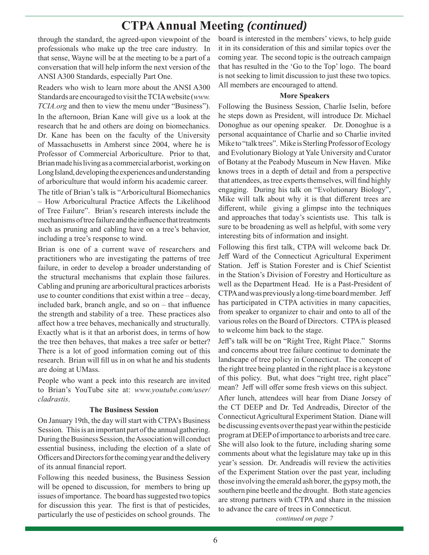# **CTPA Annual Meeting** *(continued)*

through the standard, the agreed-upon viewpoint of the professionals who make up the tree care industry. In that sense, Wayne will be at the meeting to be a part of a conversation that will help inform the next version of the ANSI A300 Standards, especially Part One.

Readers who wish to learn more about the ANSI A300 Standards are encouraged to visit the TCIA website (*www. TCIA.org* and then to view the menu under "Business"). In the afternoon, Brian Kane will give us a look at the research that he and others are doing on biomechanics. Dr. Kane has been on the faculty of the University of Massachusetts in Amherst since 2004, where he is Professor of Commercial Arboriculture. Prior to that, Brian made his living as a commercial arborist, working on

Long Island, developing the experiences and understanding of arboriculture that would inform his academic career.

The title of Brian's talk is "Arboricultural Biomechanics – How Arboricultural Practice Affects the Likelihood of Tree Failure". Brian's research interests include the mechanisms of tree failure and the influence that treatments such as pruning and cabling have on a tree's behavior, including a tree's response to wind.

Brian is one of a current wave of researchers and practitioners who are investigating the patterns of tree failure, in order to develop a broader understanding of the structural mechanisms that explain those failures. Cabling and pruning are arboricultural practices arborists use to counter conditions that exist within a tree – decay, included bark, branch angle, and so on  $-$  that influence the strength and stability of a tree. These practices also affect how a tree behaves, mechanically and structurally. Exactly what is it that an arborist does, in terms of how the tree then behaves, that makes a tree safer or better? There is a lot of good information coming out of this research. Brian will fill us in on what he and his students are doing at UMass.

People who want a peek into this research are invited to Brian's YouTube site at: *www.youtube.com/user/ cladrastis*.

## **The Business Session**

On January 19th, the day will start with CTPA's Business Session. This is an important part of the annual gathering. During the Business Session, the Association will conduct essential business, including the election of a slate of Officers and Directors for the coming year and the delivery of its annual financial report.

Following this needed business, the Business Session will be opened to discussion, for members to bring up issues of importance. The board has suggested two topics for discussion this year. The first is that of pesticides, particularly the use of pesticides on school grounds. The

board is interested in the members' views, to help guide it in its consideration of this and similar topics over the coming year. The second topic is the outreach campaign that has resulted in the 'Go to the Top' logo. The board is not seeking to limit discussion to just these two topics. All members are encouraged to attend.

## **More Speakers**

Following the Business Session, Charlie Iselin, before he steps down as President, will introduce Dr. Michael Donoghue as our opening speaker. Dr. Donoghue is a personal acquaintance of Charlie and so Charlie invited Mike to "talk trees". Mike is Sterling Professor of Ecology and Evolutionary Biology at Yale University and Curator of Botany at the Peabody Museum in New Haven. Mike knows trees in a depth of detail and from a perspective that attendees, as tree experts themselves, will find highly engaging. During his talk on "Evolutionary Biology", Mike will talk about why it is that different trees are different, while giving a glimpse into the techniques and approaches that today's scientists use. This talk is sure to be broadening as well as helpful, with some very interesting bits of information and insight.

Following this first talk, CTPA will welcome back Dr. Jeff Ward of the Connecticut Agricultural Experiment Station. Jeff is Station Forester and is Chief Scientist in the Station's Division of Forestry and Horticulture as well as the Department Head. He is a Past-President of CTPA and was previously a long-time board member. Jeff has participated in CTPA activities in many capacities, from speaker to organizer to chair and onto to all of the various roles on the Board of Directors. CTPA is pleased to welcome him back to the stage.

Jeff's talk will be on "Right Tree, Right Place." Storms and concerns about tree failure continue to dominate the landscape of tree policy in Connecticut. The concept of the right tree being planted in the right place is a keystone of this policy. But, what does "right tree, right place" mean? Jeff will offer some fresh views on this subject.

After lunch, attendees will hear from Diane Jorsey of the CT DEEP and Dr. Ted Andreadis, Director of the Connecticut Agricultural Experiment Station. Diane will be discussing events over the past year within the pesticide program at DEEP of importance to arborists and tree care. She will also look to the future, including sharing some comments about what the legislature may take up in this year's session. Dr. Andreadis will review the activities of the Experiment Station over the past year, including those involving the emerald ash borer, the gypsy moth, the southern pine beetle and the drought. Both state agencies are strong partners with CTPA and share in the mission to advance the care of trees in Connecticut.

*continued on page 7*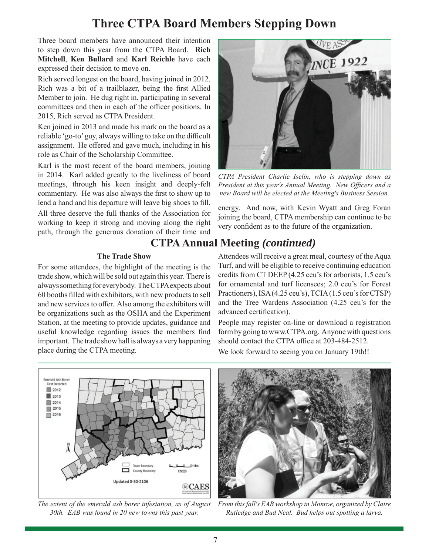# **Three CTPA Board Members Stepping Down**

Three board members have announced their intention to step down this year from the CTPA Board. **Rich Mitchell**, **Ken Bullard** and **Karl Reichle** have each expressed their decision to move on.

Rich served longest on the board, having joined in 2012. Rich was a bit of a trailblazer, being the first Allied Member to join. He dug right in, participating in several committees and then in each of the officer positions. In 2015, Rich served as CTPA President.

Ken joined in 2013 and made his mark on the board as a reliable 'go-to' guy, always willing to take on the difficult assignment. He offered and gave much, including in his role as Chair of the Scholarship Committee.

Karl is the most recent of the board members, joining in 2014. Karl added greatly to the liveliness of board meetings, through his keen insight and deeply-felt commentary. He was also always the first to show up to lend a hand and his departure will leave big shoes to fill.

All three deserve the full thanks of the Association for working to keep it strong and moving along the right path, through the generous donation of their time and

#### **The Trade Show**

For some attendees, the highlight of the meeting is the trade show, which will be sold out again this year. There is always something for everybody. The CTPA expects about 60 booths fi lled with exhibitors, with new products to sell and new services to offer. Also among the exhibitors will be organizations such as the OSHA and the Experiment Station, at the meeting to provide updates, guidance and useful knowledge regarding issues the members find important. The trade show hall is always a very happening place during the CTPA meeting.



*CTPA President Charlie Iselin, who is stepping down as President at this year's Annual Meeting. New Officers and a new Board will be elected at the Meeting's Business Session.* 

energy. And now, with Kevin Wyatt and Greg Foran joining the board, CTPA membership can continue to be very confident as to the future of the organization.

# **CTPA Annual Meeting** *(continued)*

Attendees will receive a great meal, courtesy of the Aqua Turf, and will be eligible to receive continuing education credits from CT DEEP (4.25 ceu's for arborists, 1.5 ceu's for ornamental and turf licensees; 2.0 ceu's for Forest Practioners), ISA (4.25 ceu's), TCIA (1.5 ceu's for CTSP) and the Tree Wardens Association (4.25 ceu's for the advanced certification).

People may register on-line or download a registration form by going to www.CTPA.org. Anyone with questions should contact the CTPA office at 203-484-2512.

We look forward to seeing you on January 19th!!



*The extent of the emerald ash borer infestation, as of August 30th. EAB was found in 20 new towns this past year.*



*From this fall's EAB workshop in Monroe, organized by Claire Rutledge and Bud Neal. Bud helps out spotting a larva.*